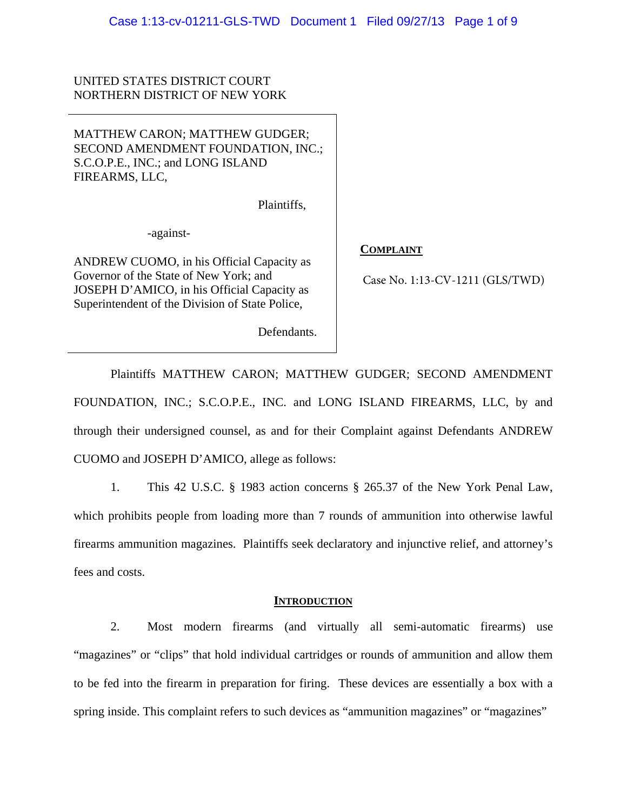UNITED STATES DISTRICT COURT NORTHERN DISTRICT OF NEW YORK

MATTHEW CARON; MATTHEW GUDGER; SECOND AMENDMENT FOUNDATION, INC.; S.C.O.P.E., INC.; and LONG ISLAND FIREARMS, LLC,

Plaintiffs,

-against-

ANDREW CUOMO, in his Official Capacity as Governor of the State of New York; and JOSEPH D'AMICO, in his Official Capacity as Superintendent of the Division of State Police,

## **COMPLAINT**

Case No. 1:13-CV-1211 (GLS/TWD)

Defendants.

Plaintiffs MATTHEW CARON; MATTHEW GUDGER; SECOND AMENDMENT FOUNDATION, INC.; S.C.O.P.E., INC. and LONG ISLAND FIREARMS, LLC, by and through their undersigned counsel, as and for their Complaint against Defendants ANDREW CUOMO and JOSEPH D'AMICO, allege as follows:

1. This 42 U.S.C. § 1983 action concerns § 265.37 of the New York Penal Law, which prohibits people from loading more than 7 rounds of ammunition into otherwise lawful firearms ammunition magazines. Plaintiffs seek declaratory and injunctive relief, and attorney's fees and costs.

## **INTRODUCTION**

2. Most modern firearms (and virtually all semi-automatic firearms) use "magazines" or "clips" that hold individual cartridges or rounds of ammunition and allow them to be fed into the firearm in preparation for firing. These devices are essentially a box with a spring inside. This complaint refers to such devices as "ammunition magazines" or "magazines"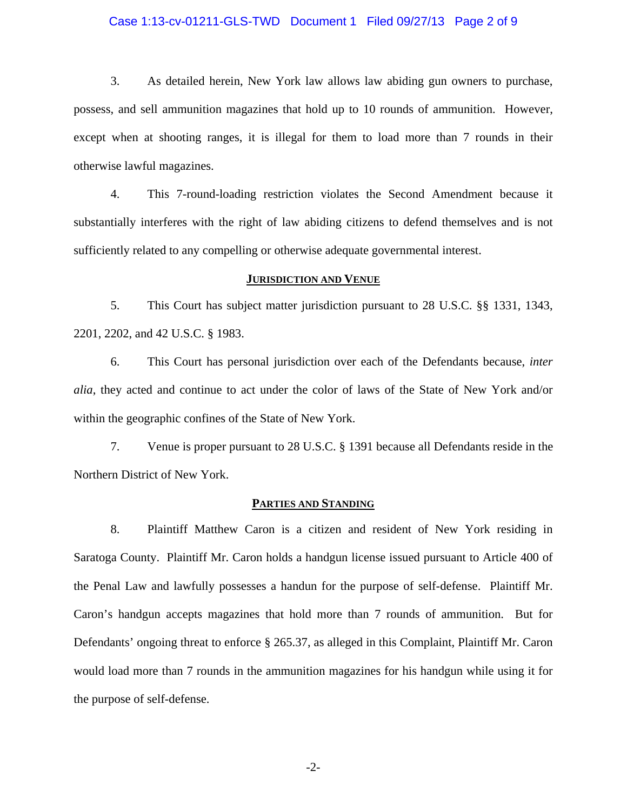### Case 1:13-cv-01211-GLS-TWD Document 1 Filed 09/27/13 Page 2 of 9

3. As detailed herein, New York law allows law abiding gun owners to purchase, possess, and sell ammunition magazines that hold up to 10 rounds of ammunition. However, except when at shooting ranges, it is illegal for them to load more than 7 rounds in their otherwise lawful magazines.

4. This 7-round-loading restriction violates the Second Amendment because it substantially interferes with the right of law abiding citizens to defend themselves and is not sufficiently related to any compelling or otherwise adequate governmental interest.

### **JURISDICTION AND VENUE**

5. This Court has subject matter jurisdiction pursuant to 28 U.S.C. §§ 1331, 1343, 2201, 2202, and 42 U.S.C. § 1983.

6. This Court has personal jurisdiction over each of the Defendants because, *inter alia*, they acted and continue to act under the color of laws of the State of New York and/or within the geographic confines of the State of New York.

7. Venue is proper pursuant to 28 U.S.C. § 1391 because all Defendants reside in the Northern District of New York.

### **PARTIES AND STANDING**

8. Plaintiff Matthew Caron is a citizen and resident of New York residing in Saratoga County. Plaintiff Mr. Caron holds a handgun license issued pursuant to Article 400 of the Penal Law and lawfully possesses a handun for the purpose of self-defense. Plaintiff Mr. Caron's handgun accepts magazines that hold more than 7 rounds of ammunition. But for Defendants' ongoing threat to enforce § 265.37, as alleged in this Complaint, Plaintiff Mr. Caron would load more than 7 rounds in the ammunition magazines for his handgun while using it for the purpose of self-defense.

-2-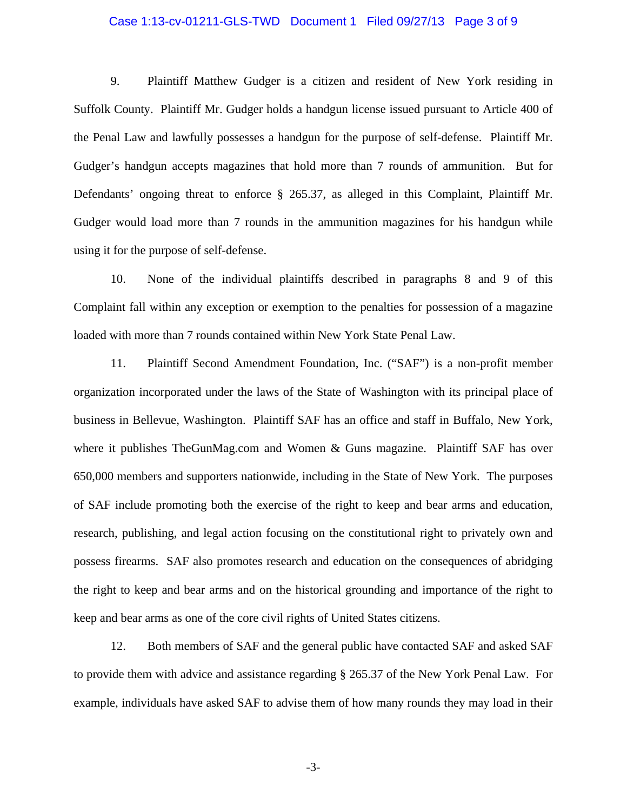### Case 1:13-cv-01211-GLS-TWD Document 1 Filed 09/27/13 Page 3 of 9

9. Plaintiff Matthew Gudger is a citizen and resident of New York residing in Suffolk County. Plaintiff Mr. Gudger holds a handgun license issued pursuant to Article 400 of the Penal Law and lawfully possesses a handgun for the purpose of self-defense. Plaintiff Mr. Gudger's handgun accepts magazines that hold more than 7 rounds of ammunition. But for Defendants' ongoing threat to enforce § 265.37, as alleged in this Complaint, Plaintiff Mr. Gudger would load more than 7 rounds in the ammunition magazines for his handgun while using it for the purpose of self-defense.

10. None of the individual plaintiffs described in paragraphs 8 and 9 of this Complaint fall within any exception or exemption to the penalties for possession of a magazine loaded with more than 7 rounds contained within New York State Penal Law.

11. Plaintiff Second Amendment Foundation, Inc. ("SAF") is a non-profit member organization incorporated under the laws of the State of Washington with its principal place of business in Bellevue, Washington. Plaintiff SAF has an office and staff in Buffalo, New York, where it publishes TheGunMag.com and Women & Guns magazine. Plaintiff SAF has over 650,000 members and supporters nationwide, including in the State of New York. The purposes of SAF include promoting both the exercise of the right to keep and bear arms and education, research, publishing, and legal action focusing on the constitutional right to privately own and possess firearms. SAF also promotes research and education on the consequences of abridging the right to keep and bear arms and on the historical grounding and importance of the right to keep and bear arms as one of the core civil rights of United States citizens.

12. Both members of SAF and the general public have contacted SAF and asked SAF to provide them with advice and assistance regarding § 265.37 of the New York Penal Law. For example, individuals have asked SAF to advise them of how many rounds they may load in their

-3-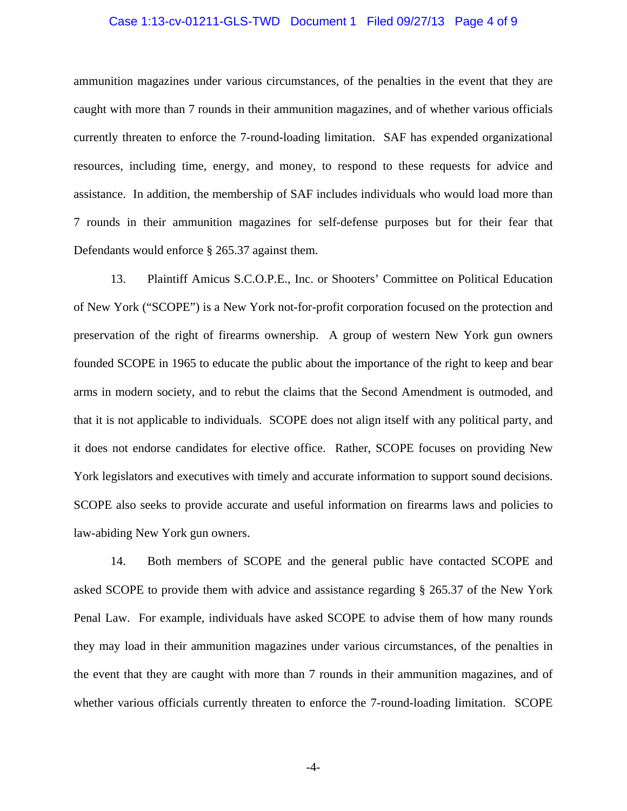### Case 1:13-cv-01211-GLS-TWD Document 1 Filed 09/27/13 Page 4 of 9

ammunition magazines under various circumstances, of the penalties in the event that they are caught with more than 7 rounds in their ammunition magazines, and of whether various officials currently threaten to enforce the 7-round-loading limitation. SAF has expended organizational resources, including time, energy, and money, to respond to these requests for advice and assistance. In addition, the membership of SAF includes individuals who would load more than 7 rounds in their ammunition magazines for self-defense purposes but for their fear that Defendants would enforce § 265.37 against them.

13. Plaintiff Amicus S.C.O.P.E., Inc. or Shooters' Committee on Political Education of New York ("SCOPE") is a New York not-for-profit corporation focused on the protection and preservation of the right of firearms ownership. A group of western New York gun owners founded SCOPE in 1965 to educate the public about the importance of the right to keep and bear arms in modern society, and to rebut the claims that the Second Amendment is outmoded, and that it is not applicable to individuals. SCOPE does not align itself with any political party, and it does not endorse candidates for elective office. Rather, SCOPE focuses on providing New York legislators and executives with timely and accurate information to support sound decisions. SCOPE also seeks to provide accurate and useful information on firearms laws and policies to law-abiding New York gun owners.

14. Both members of SCOPE and the general public have contacted SCOPE and asked SCOPE to provide them with advice and assistance regarding § 265.37 of the New York Penal Law. For example, individuals have asked SCOPE to advise them of how many rounds they may load in their ammunition magazines under various circumstances, of the penalties in the event that they are caught with more than 7 rounds in their ammunition magazines, and of whether various officials currently threaten to enforce the 7-round-loading limitation. SCOPE

-4-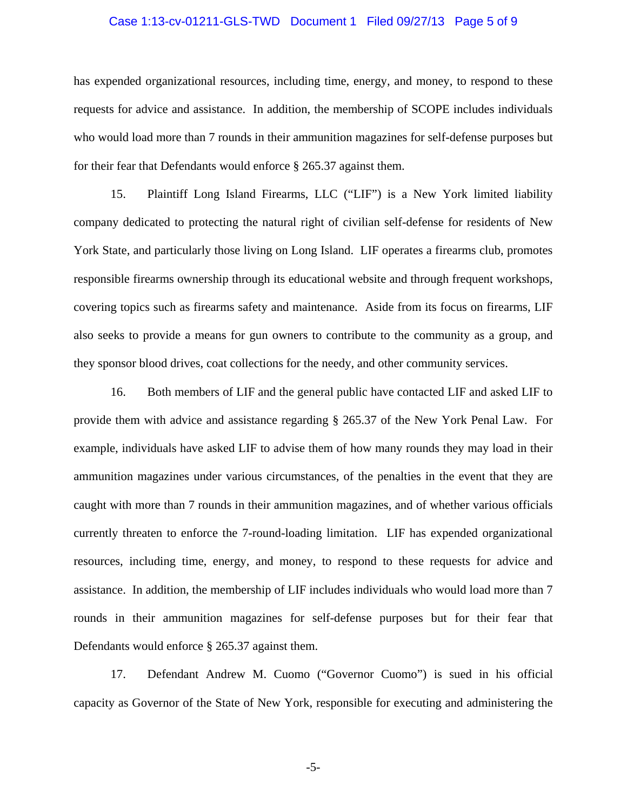#### Case 1:13-cv-01211-GLS-TWD Document 1 Filed 09/27/13 Page 5 of 9

has expended organizational resources, including time, energy, and money, to respond to these requests for advice and assistance. In addition, the membership of SCOPE includes individuals who would load more than 7 rounds in their ammunition magazines for self-defense purposes but for their fear that Defendants would enforce § 265.37 against them.

15. Plaintiff Long Island Firearms, LLC ("LIF") is a New York limited liability company dedicated to protecting the natural right of civilian self-defense for residents of New York State, and particularly those living on Long Island. LIF operates a firearms club, promotes responsible firearms ownership through its educational website and through frequent workshops, covering topics such as firearms safety and maintenance. Aside from its focus on firearms, LIF also seeks to provide a means for gun owners to contribute to the community as a group, and they sponsor blood drives, coat collections for the needy, and other community services.

16. Both members of LIF and the general public have contacted LIF and asked LIF to provide them with advice and assistance regarding § 265.37 of the New York Penal Law. For example, individuals have asked LIF to advise them of how many rounds they may load in their ammunition magazines under various circumstances, of the penalties in the event that they are caught with more than 7 rounds in their ammunition magazines, and of whether various officials currently threaten to enforce the 7-round-loading limitation. LIF has expended organizational resources, including time, energy, and money, to respond to these requests for advice and assistance. In addition, the membership of LIF includes individuals who would load more than 7 rounds in their ammunition magazines for self-defense purposes but for their fear that Defendants would enforce § 265.37 against them.

17. Defendant Andrew M. Cuomo ("Governor Cuomo") is sued in his official capacity as Governor of the State of New York, responsible for executing and administering the

-5-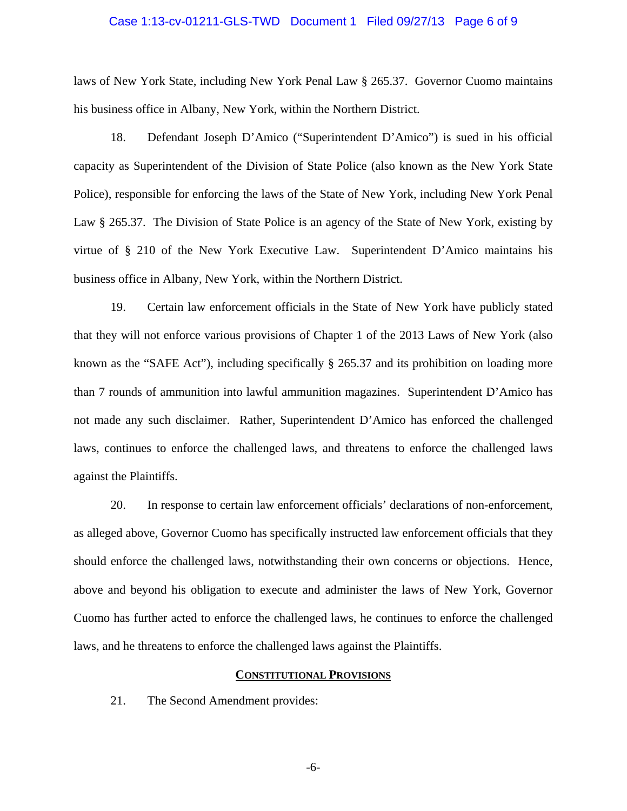#### Case 1:13-cv-01211-GLS-TWD Document 1 Filed 09/27/13 Page 6 of 9

laws of New York State, including New York Penal Law § 265.37. Governor Cuomo maintains his business office in Albany, New York, within the Northern District.

18. Defendant Joseph D'Amico ("Superintendent D'Amico") is sued in his official capacity as Superintendent of the Division of State Police (also known as the New York State Police), responsible for enforcing the laws of the State of New York, including New York Penal Law § 265.37. The Division of State Police is an agency of the State of New York, existing by virtue of § 210 of the New York Executive Law. Superintendent D'Amico maintains his business office in Albany, New York, within the Northern District.

19. Certain law enforcement officials in the State of New York have publicly stated that they will not enforce various provisions of Chapter 1 of the 2013 Laws of New York (also known as the "SAFE Act"), including specifically § 265.37 and its prohibition on loading more than 7 rounds of ammunition into lawful ammunition magazines. Superintendent D'Amico has not made any such disclaimer. Rather, Superintendent D'Amico has enforced the challenged laws, continues to enforce the challenged laws, and threatens to enforce the challenged laws against the Plaintiffs.

20. In response to certain law enforcement officials' declarations of non-enforcement, as alleged above, Governor Cuomo has specifically instructed law enforcement officials that they should enforce the challenged laws, notwithstanding their own concerns or objections. Hence, above and beyond his obligation to execute and administer the laws of New York, Governor Cuomo has further acted to enforce the challenged laws, he continues to enforce the challenged laws, and he threatens to enforce the challenged laws against the Plaintiffs.

## **CONSTITUTIONAL PROVISIONS**

21. The Second Amendment provides:

-6-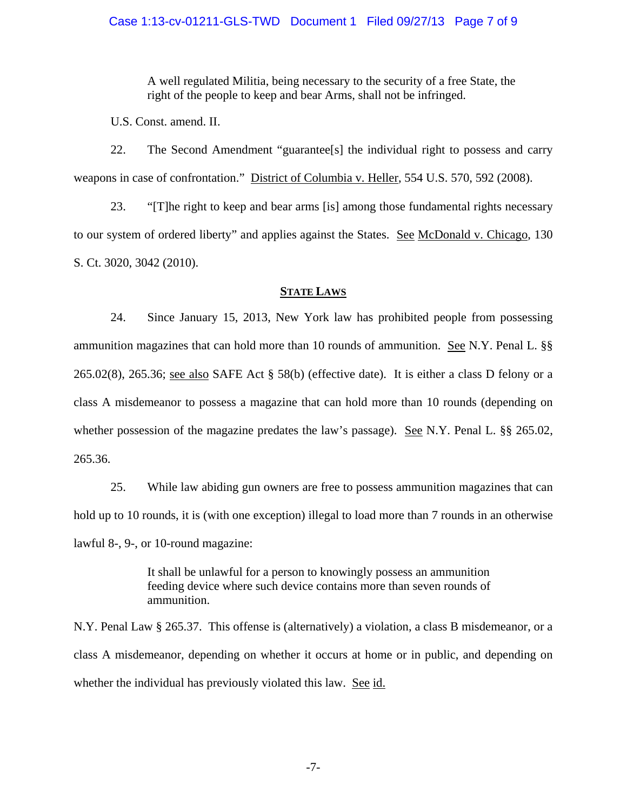A well regulated Militia, being necessary to the security of a free State, the right of the people to keep and bear Arms, shall not be infringed.

U.S. Const. amend. II.

22. The Second Amendment "guarantee[s] the individual right to possess and carry weapons in case of confrontation." District of Columbia v. Heller, 554 U.S. 570, 592 (2008).

23. "[T]he right to keep and bear arms [is] among those fundamental rights necessary to our system of ordered liberty" and applies against the States. See McDonald v. Chicago, 130 S. Ct. 3020, 3042 (2010).

# **STATE LAWS**

24. Since January 15, 2013, New York law has prohibited people from possessing ammunition magazines that can hold more than 10 rounds of ammunition. See N.Y. Penal L. §§ 265.02(8), 265.36; see also SAFE Act § 58(b) (effective date). It is either a class D felony or a class A misdemeanor to possess a magazine that can hold more than 10 rounds (depending on whether possession of the magazine predates the law's passage). <u>See</u> N.Y. Penal L. §§ 265.02, 265.36.

25. While law abiding gun owners are free to possess ammunition magazines that can hold up to 10 rounds, it is (with one exception) illegal to load more than 7 rounds in an otherwise lawful 8-, 9-, or 10-round magazine:

> It shall be unlawful for a person to knowingly possess an ammunition feeding device where such device contains more than seven rounds of ammunition.

N.Y. Penal Law § 265.37. This offense is (alternatively) a violation, a class B misdemeanor, or a class A misdemeanor, depending on whether it occurs at home or in public, and depending on whether the individual has previously violated this law. See id.

-7-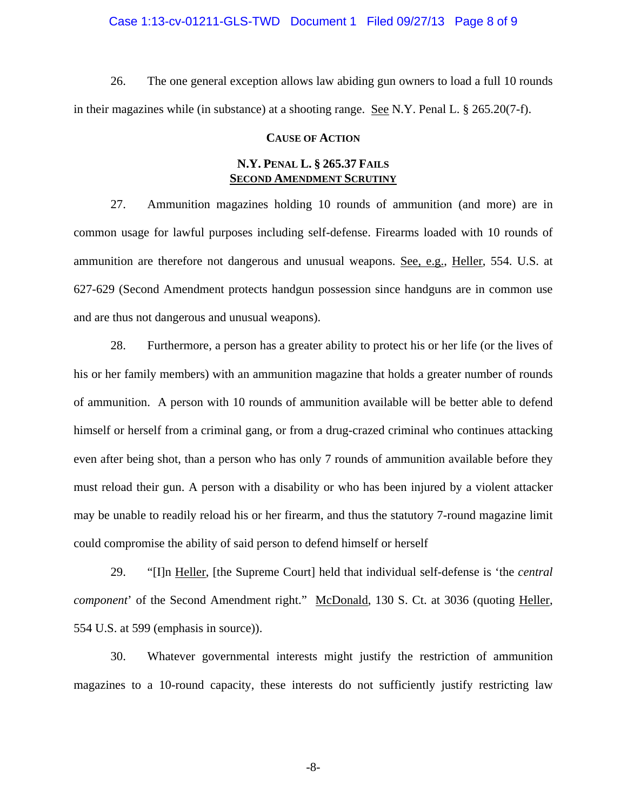#### Case 1:13-cv-01211-GLS-TWD Document 1 Filed 09/27/13 Page 8 of 9

26. The one general exception allows law abiding gun owners to load a full 10 rounds in their magazines while (in substance) at a shooting range. See N.Y. Penal L. § 265.20(7-f).

#### **CAUSE OF ACTION**

## **N.Y. PENAL L. § 265.37 FAILS SECOND AMENDMENT SCRUTINY**

27. Ammunition magazines holding 10 rounds of ammunition (and more) are in common usage for lawful purposes including self-defense. Firearms loaded with 10 rounds of ammunition are therefore not dangerous and unusual weapons. See, e.g., Heller, 554. U.S. at 627-629 (Second Amendment protects handgun possession since handguns are in common use and are thus not dangerous and unusual weapons).

28. Furthermore, a person has a greater ability to protect his or her life (or the lives of his or her family members) with an ammunition magazine that holds a greater number of rounds of ammunition. A person with 10 rounds of ammunition available will be better able to defend himself or herself from a criminal gang, or from a drug-crazed criminal who continues attacking even after being shot, than a person who has only 7 rounds of ammunition available before they must reload their gun. A person with a disability or who has been injured by a violent attacker may be unable to readily reload his or her firearm, and thus the statutory 7-round magazine limit could compromise the ability of said person to defend himself or herself

29. "[I]n Heller, [the Supreme Court] held that individual self-defense is 'the *central component*' of the Second Amendment right." McDonald, 130 S. Ct. at 3036 (quoting Heller, 554 U.S. at 599 (emphasis in source)).

30. Whatever governmental interests might justify the restriction of ammunition magazines to a 10-round capacity, these interests do not sufficiently justify restricting law

-8-